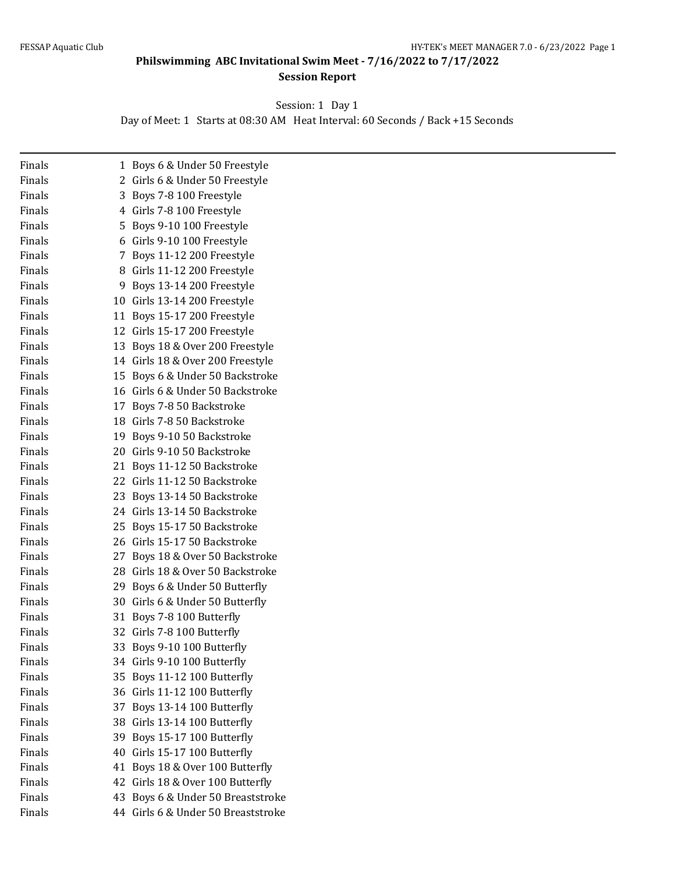**Philswimming ABC Invitational Swim Meet - 7/16/2022 to 7/17/2022 Session Report**

Session: 1 Day 1

Day of Meet: 1 Starts at 08:30 AM Heat Interval: 60 Seconds / Back +15 Seconds

| Finals |    | 1 Boys 6 & Under 50 Freestyle      |
|--------|----|------------------------------------|
| Finals |    | 2 Girls 6 & Under 50 Freestyle     |
| Finals |    | 3 Boys 7-8 100 Freestyle           |
| Finals |    | 4 Girls 7-8 100 Freestyle          |
| Finals | 5  | Boys 9-10 100 Freestyle            |
| Finals |    | 6 Girls 9-10 100 Freestyle         |
| Finals | 7. | Boys 11-12 200 Freestyle           |
| Finals |    | 8 Girls 11-12 200 Freestyle        |
| Finals | 9  | Boys 13-14 200 Freestyle           |
| Finals |    | 10 Girls 13-14 200 Freestyle       |
| Finals |    | 11 Boys 15-17 200 Freestyle        |
| Finals |    | 12 Girls 15-17 200 Freestyle       |
| Finals |    | 13 Boys 18 & Over 200 Freestyle    |
| Finals |    | 14 Girls 18 & Over 200 Freestyle   |
| Finals |    | 15 Boys 6 & Under 50 Backstroke    |
| Finals |    | 16 Girls 6 & Under 50 Backstroke   |
| Finals |    | 17 Boys 7-8 50 Backstroke          |
| Finals |    | 18 Girls 7-8 50 Backstroke         |
| Finals |    | 19 Boys 9-10 50 Backstroke         |
| Finals |    | 20 Girls 9-10 50 Backstroke        |
| Finals |    | 21 Boys 11-12 50 Backstroke        |
| Finals |    | 22 Girls 11-12 50 Backstroke       |
| Finals |    | 23 Boys 13-14 50 Backstroke        |
| Finals |    | 24 Girls 13-14 50 Backstroke       |
| Finals |    | 25 Boys 15-17 50 Backstroke        |
| Finals |    | 26 Girls 15-17 50 Backstroke       |
| Finals | 27 | Boys 18 & Over 50 Backstroke       |
| Finals |    | 28 Girls 18 & Over 50 Backstroke   |
| Finals | 29 | Boys 6 & Under 50 Butterfly        |
| Finals |    | 30 Girls 6 & Under 50 Butterfly    |
| Finals |    | 31 Boys 7-8 100 Butterfly          |
| Finals |    | 32 Girls 7-8 100 Butterfly         |
| Finals |    | 33 Boys 9-10 100 Butterfly         |
| Finals |    | 34 Girls 9-10 100 Butterfly        |
| Finals |    | 35 Boys 11-12 100 Butterfly        |
| Finals |    | 36 Girls 11-12 100 Butterfly       |
| Finals | 37 | Boys 13-14 100 Butterfly           |
| Finals |    | 38 Girls 13-14 100 Butterfly       |
| Finals |    | 39 Boys 15-17 100 Butterfly        |
| Finals |    | 40 Girls 15-17 100 Butterfly       |
| Finals |    | 41 Boys 18 & Over 100 Butterfly    |
| Finals |    | 42 Girls 18 & Over 100 Butterfly   |
| Finals |    | 43 Boys 6 & Under 50 Breaststroke  |
| Finals |    | 44 Girls 6 & Under 50 Breaststroke |